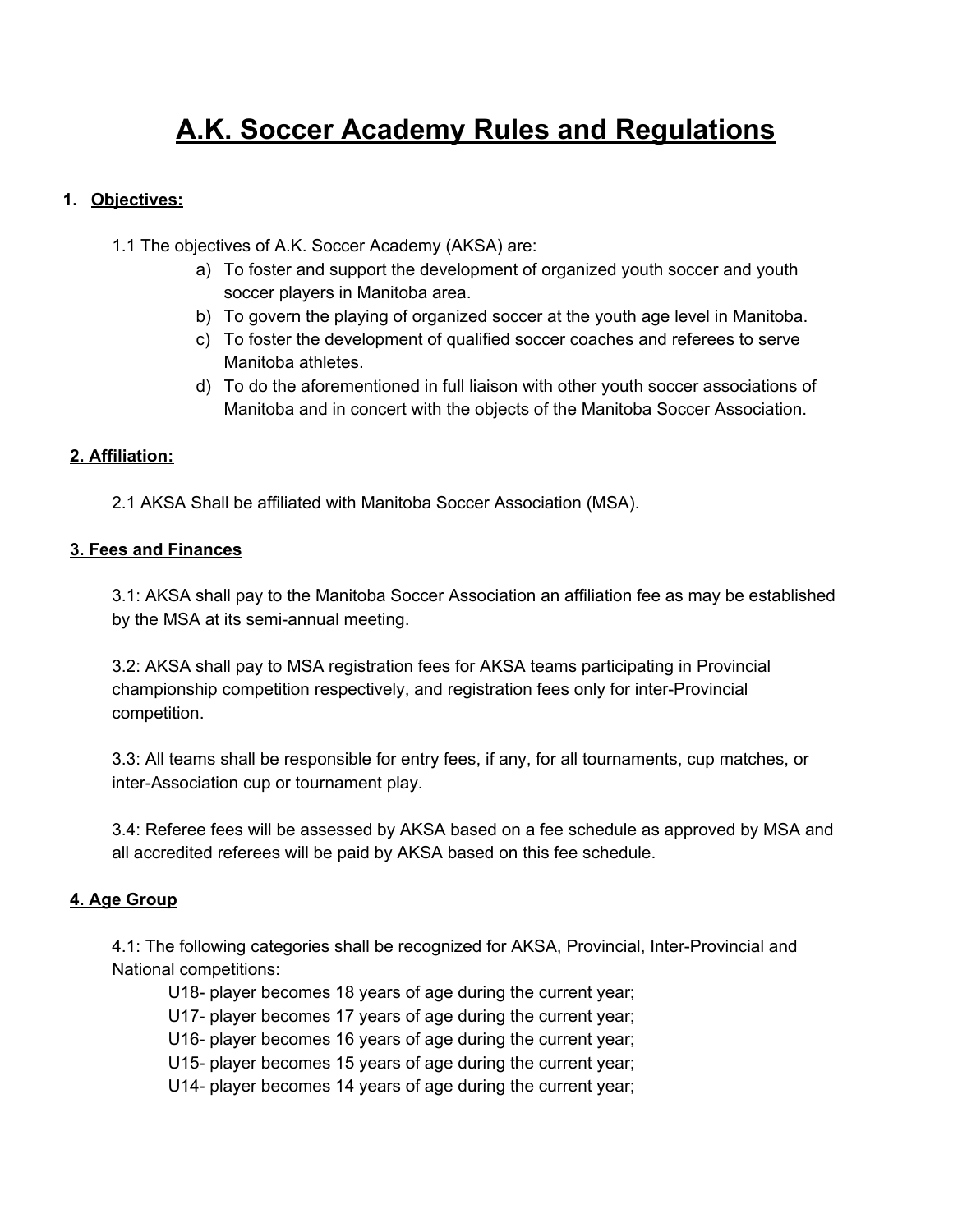# **A.K. Soccer Academy Rules and Regulations**

# **1. Objectives:**

1.1 The objectives of A.K. Soccer Academy (AKSA) are:

- a) To foster and support the development of organized youth soccer and youth soccer players in Manitoba area.
- b) To govern the playing of organized soccer at the youth age level in Manitoba.
- c) To foster the development of qualified soccer coaches and referees to serve Manitoba athletes.
- d) To do the aforementioned in full liaison with other youth soccer associations of Manitoba and in concert with the objects of the Manitoba Soccer Association.

## **2. Affiliation:**

2.1 AKSA Shall be affiliated with Manitoba Soccer Association (MSA).

#### **3. Fees and Finances**

3.1: AKSA shall pay to the Manitoba Soccer Association an affiliation fee as may be established by the MSA at its semi-annual meeting.

3.2: AKSA shall pay to MSA registration fees for AKSA teams participating in Provincial championship competition respectively, and registration fees only for inter-Provincial competition.

3.3: All teams shall be responsible for entry fees, if any, for all tournaments, cup matches, or inter-Association cup or tournament play.

3.4: Referee fees will be assessed by AKSA based on a fee schedule as approved by MSA and all accredited referees will be paid by AKSA based on this fee schedule.

#### **4. Age Group**

4.1: The following categories shall be recognized for AKSA, Provincial, Inter-Provincial and National competitions:

- U18- player becomes 18 years of age during the current year;
- U17- player becomes 17 years of age during the current year;
- U16- player becomes 16 years of age during the current year;
- U15- player becomes 15 years of age during the current year;
- U14- player becomes 14 years of age during the current year;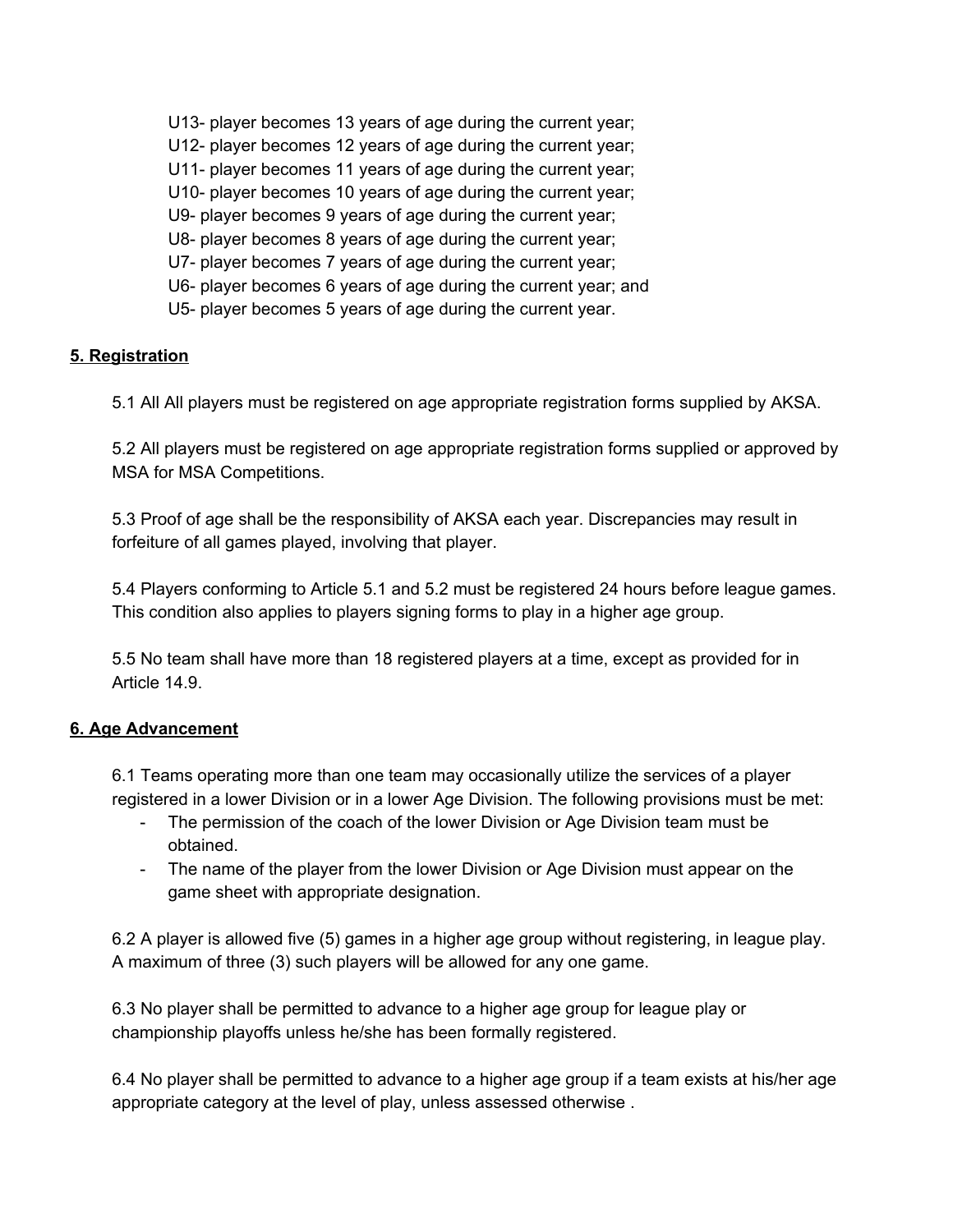U13- player becomes 13 years of age during the current year; U12- player becomes 12 years of age during the current year; U11- player becomes 11 years of age during the current year; U10- player becomes 10 years of age during the current year; U9- player becomes 9 years of age during the current year; U8- player becomes 8 years of age during the current year; U7- player becomes 7 years of age during the current year; U6- player becomes 6 years of age during the current year; and U5- player becomes 5 years of age during the current year.

## **5. Registration**

5.1 All All players must be registered on age appropriate registration forms supplied by AKSA.

5.2 All players must be registered on age appropriate registration forms supplied or approved by MSA for MSA Competitions.

5.3 Proof of age shall be the responsibility of AKSA each year. Discrepancies may result in forfeiture of all games played, involving that player.

5.4 Players conforming to Article 5.1 and 5.2 must be registered 24 hours before league games. This condition also applies to players signing forms to play in a higher age group.

5.5 No team shall have more than 18 registered players at a time, except as provided for in Article 14.9.

## **6. Age Advancement**

6.1 Teams operating more than one team may occasionally utilize the services of a player registered in a lower Division or in a lower Age Division. The following provisions must be met:

- The permission of the coach of the lower Division or Age Division team must be obtained.
- The name of the player from the lower Division or Age Division must appear on the game sheet with appropriate designation.

6.2 A player is allowed five (5) games in a higher age group without registering, in league play. A maximum of three (3) such players will be allowed for any one game.

6.3 No player shall be permitted to advance to a higher age group for league play or championship playoffs unless he/she has been formally registered.

6.4 No player shall be permitted to advance to a higher age group if a team exists at his/her age appropriate category at the level of play, unless assessed otherwise .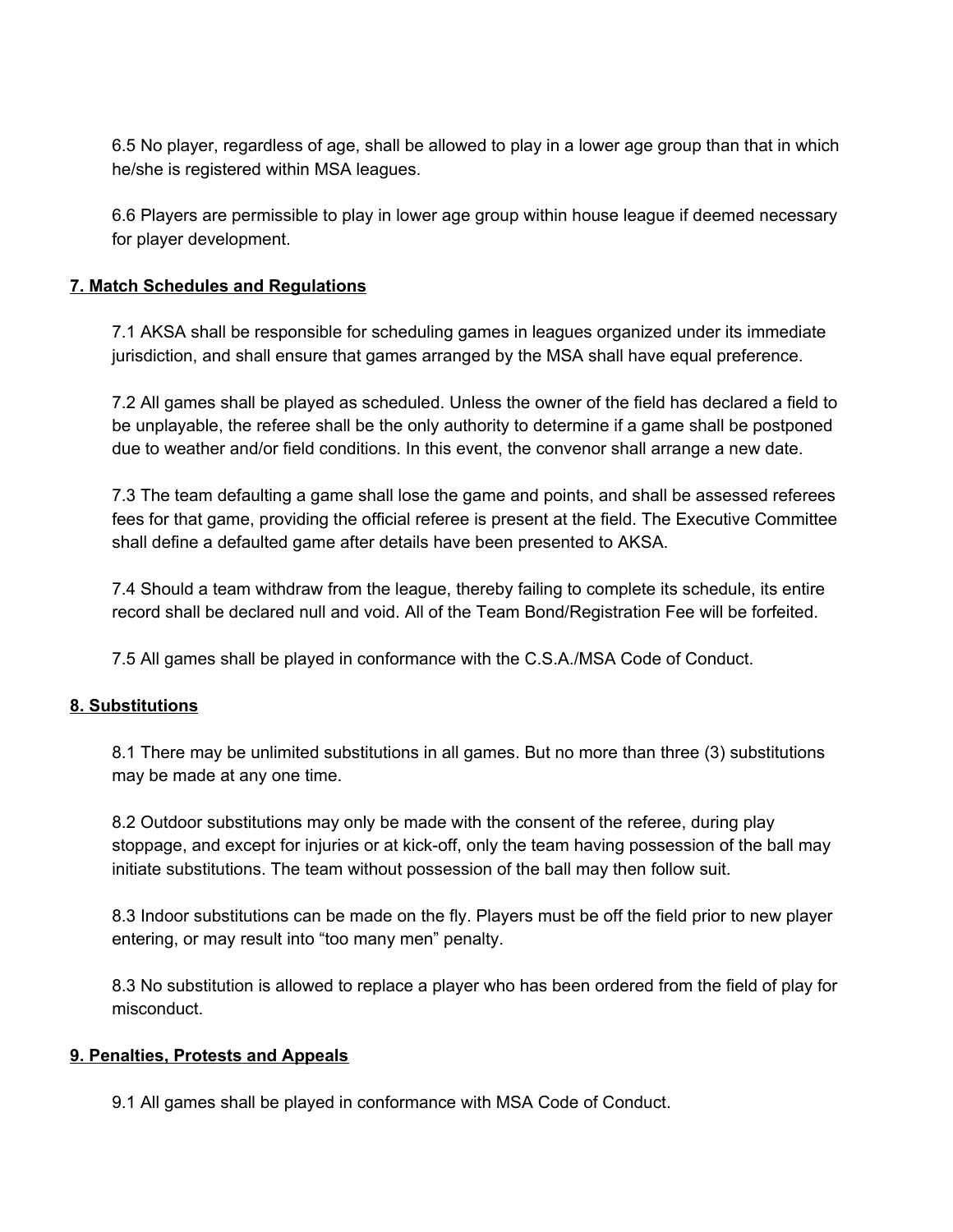6.5 No player, regardless of age, shall be allowed to play in a lower age group than that in which he/she is registered within MSA leagues.

6.6 Players are permissible to play in lower age group within house league if deemed necessary for player development.

## **7. Match Schedules and Regulations**

7.1 AKSA shall be responsible for scheduling games in leagues organized under its immediate jurisdiction, and shall ensure that games arranged by the MSA shall have equal preference.

7.2 All games shall be played as scheduled. Unless the owner of the field has declared a field to be unplayable, the referee shall be the only authority to determine if a game shall be postponed due to weather and/or field conditions. In this event, the convenor shall arrange a new date.

7.3 The team defaulting a game shall lose the game and points, and shall be assessed referees fees for that game, providing the official referee is present at the field. The Executive Committee shall define a defaulted game after details have been presented to AKSA.

7.4 Should a team withdraw from the league, thereby failing to complete its schedule, its entire record shall be declared null and void. All of the Team Bond/Registration Fee will be forfeited.

7.5 All games shall be played in conformance with the C.S.A./MSA Code of Conduct.

#### **8. Substitutions**

8.1 There may be unlimited substitutions in all games. But no more than three (3) substitutions may be made at any one time.

8.2 Outdoor substitutions may only be made with the consent of the referee, during play stoppage, and except for injuries or at kick-off, only the team having possession of the ball may initiate substitutions. The team without possession of the ball may then follow suit.

8.3 Indoor substitutions can be made on the fly. Players must be off the field prior to new player entering, or may result into "too many men" penalty.

8.3 No substitution is allowed to replace a player who has been ordered from the field of play for misconduct.

#### **9. Penalties, Protests and Appeals**

9.1 All games shall be played in conformance with MSA Code of Conduct.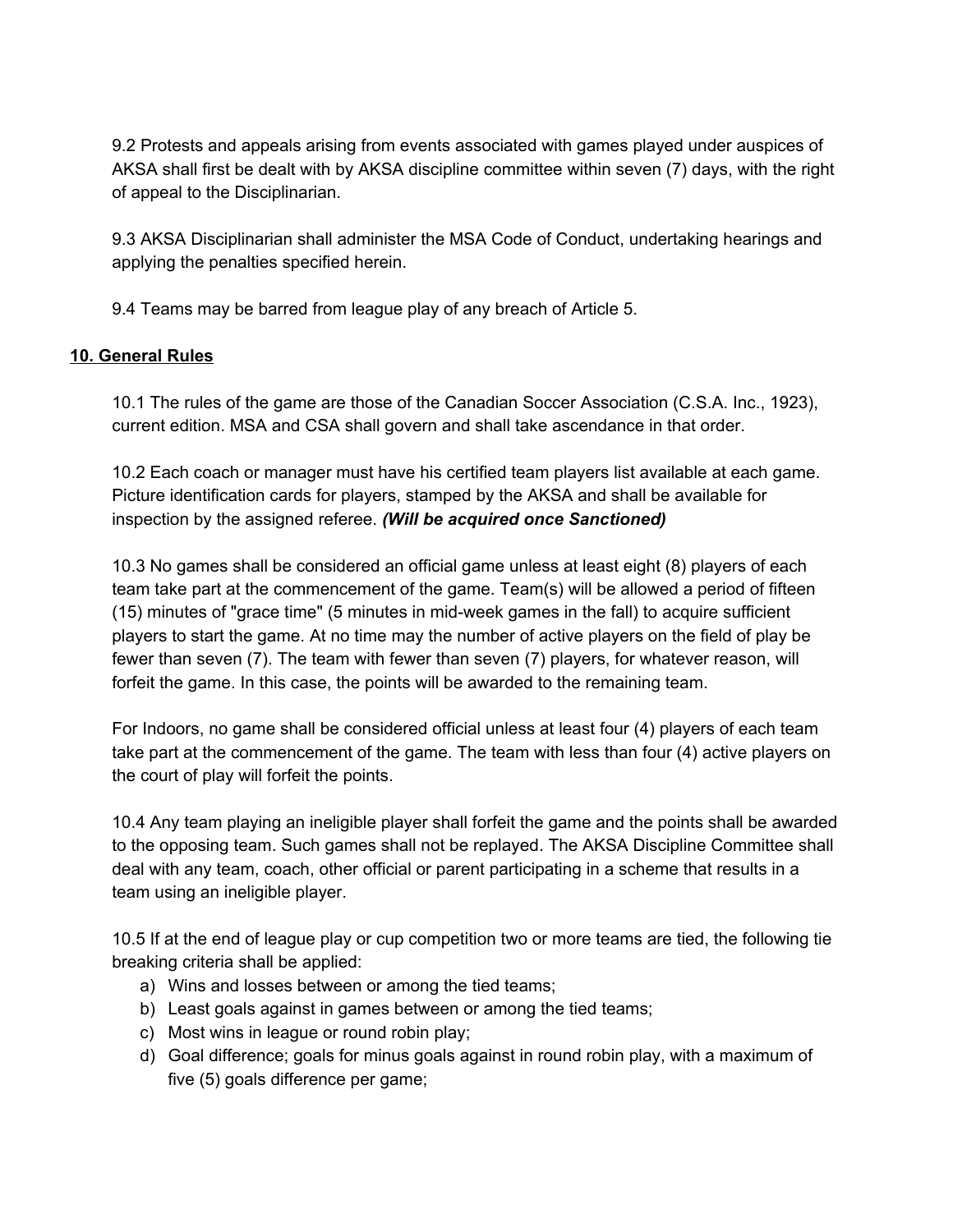9.2 Protests and appeals arising from events associated with games played under auspices of AKSA shall first be dealt with by AKSA discipline committee within seven (7) days, with the right of appeal to the Disciplinarian.

9.3 AKSA Disciplinarian shall administer the MSA Code of Conduct, undertaking hearings and applying the penalties specified herein.

9.4 Teams may be barred from league play of any breach of Article 5.

## **10. General Rules**

10.1 The rules of the game are those of the Canadian Soccer Association (C.S.A. Inc., 1923), current edition. MSA and CSA shall govern and shall take ascendance in that order.

10.2 Each coach or manager must have his certified team players list available at each game. Picture identification cards for players, stamped by the AKSA and shall be available for inspection by the assigned referee. *(Will be acquired once Sanctioned)*

10.3 No games shall be considered an official game unless at least eight (8) players of each team take part at the commencement of the game. Team(s) will be allowed a period of fifteen (15) minutes of "grace time" (5 minutes in mid-week games in the fall) to acquire sufficient players to start the game. At no time may the number of active players on the field of play be fewer than seven (7). The team with fewer than seven (7) players, for whatever reason, will forfeit the game. In this case, the points will be awarded to the remaining team.

For Indoors, no game shall be considered official unless at least four (4) players of each team take part at the commencement of the game. The team with less than four (4) active players on the court of play will forfeit the points.

10.4 Any team playing an ineligible player shall forfeit the game and the points shall be awarded to the opposing team. Such games shall not be replayed. The AKSA Discipline Committee shall deal with any team, coach, other official or parent participating in a scheme that results in a team using an ineligible player.

10.5 If at the end of league play or cup competition two or more teams are tied, the following tie breaking criteria shall be applied:

- a) Wins and losses between or among the tied teams;
- b) Least goals against in games between or among the tied teams;
- c) Most wins in league or round robin play;
- d) Goal difference; goals for minus goals against in round robin play, with a maximum of five (5) goals difference per game;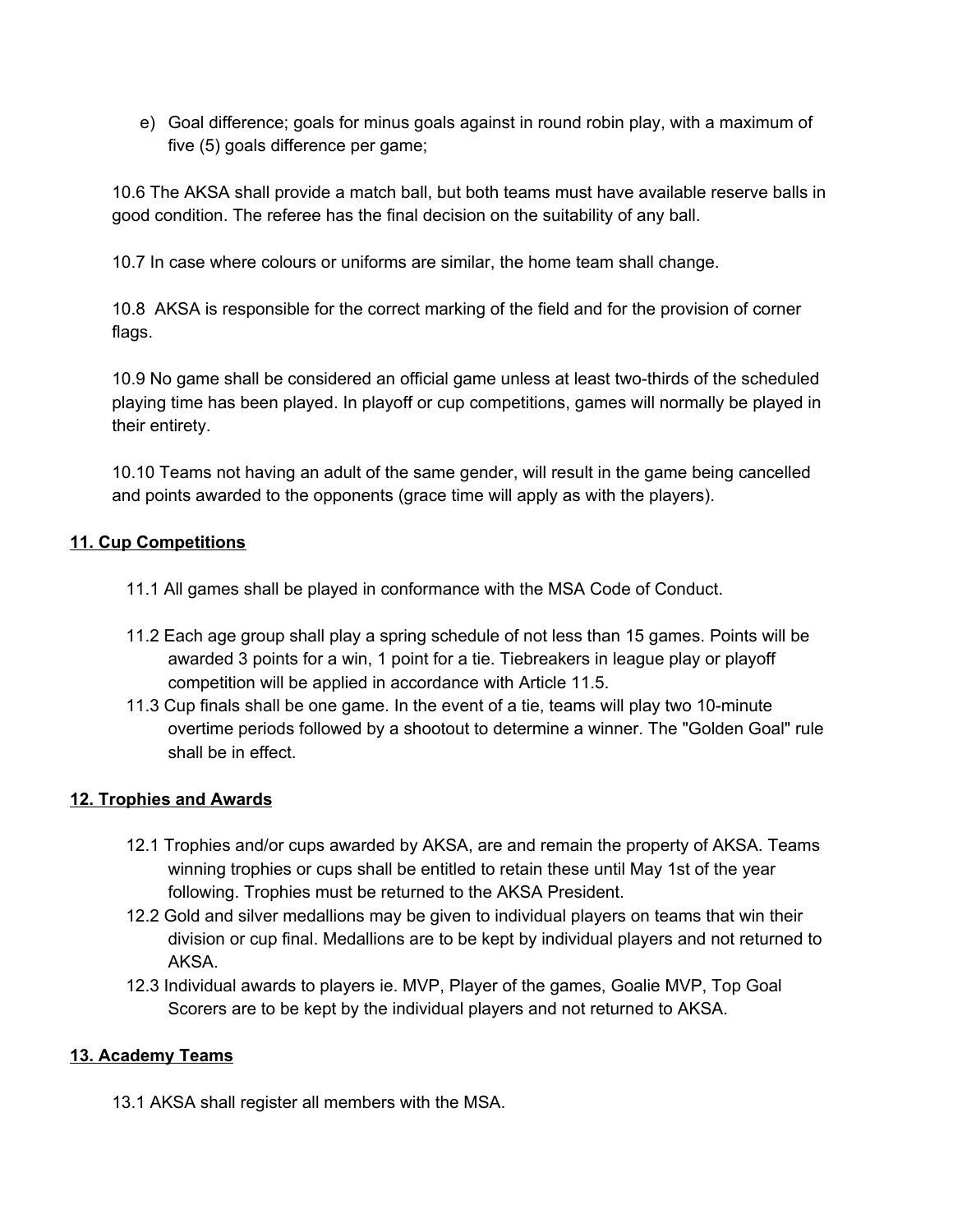e) Goal difference; goals for minus goals against in round robin play, with a maximum of five (5) goals difference per game;

10.6 The AKSA shall provide a match ball, but both teams must have available reserve balls in good condition. The referee has the final decision on the suitability of any ball.

10.7 In case where colours or uniforms are similar, the home team shall change.

10.8 AKSA is responsible for the correct marking of the field and for the provision of corner flags.

10.9 No game shall be considered an official game unless at least two-thirds of the scheduled playing time has been played. In playoff or cup competitions, games will normally be played in their entirety.

10.10 Teams not having an adult of the same gender, will result in the game being cancelled and points awarded to the opponents (grace time will apply as with the players).

## **11. Cup Competitions**

- 11.1 All games shall be played in conformance with the MSA Code of Conduct.
- 11.2 Each age group shall play a spring schedule of not less than 15 games. Points will be awarded 3 points for a win, 1 point for a tie. Tiebreakers in league play or playoff competition will be applied in accordance with Article 11.5.
- 11.3 Cup finals shall be one game. In the event of a tie, teams will play two 10-minute overtime periods followed by a shootout to determine a winner. The "Golden Goal" rule shall be in effect.

#### **12. Trophies and Awards**

- 12.1 Trophies and/or cups awarded by AKSA, are and remain the property of AKSA. Teams winning trophies or cups shall be entitled to retain these until May 1st of the year following. Trophies must be returned to the AKSA President.
- 12.2 Gold and silver medallions may be given to individual players on teams that win their division or cup final. Medallions are to be kept by individual players and not returned to AKSA.
- 12.3 Individual awards to players ie. MVP, Player of the games, Goalie MVP, Top Goal Scorers are to be kept by the individual players and not returned to AKSA.

## **13. Academy Teams**

13.1 AKSA shall register all members with the MSA.